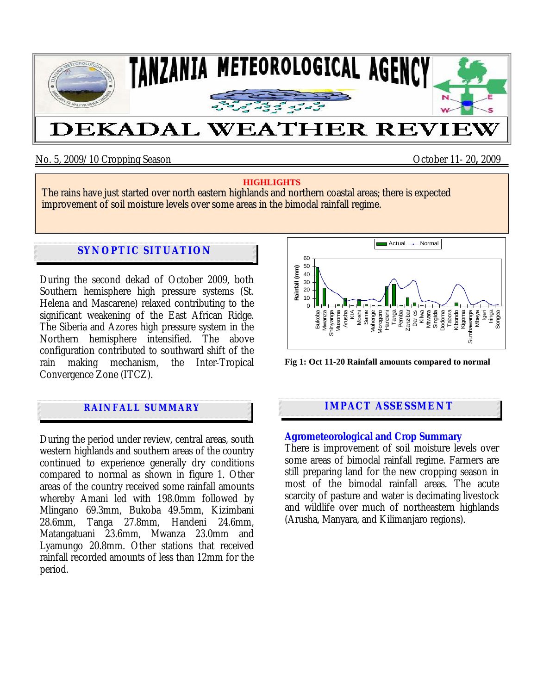

No. 5, 2009/10 Cropping Season October 11- 20**,** 2009

#### **HIGHLIGHTS**

The rains have just started over north eastern highlands and northern coastal areas; there is expected improvement of soil moisture levels over some areas in the bimodal rainfall regime.

# **SYNOPTIC SITUATION**

During the second dekad of October 2009, both Southern hemisphere high pressure systems (St. Helena and Mascarene) relaxed contributing to the significant weakening of the East African Ridge. The Siberia and Azores high pressure system in the Northern hemisphere intensified. The above configuration contributed to southward shift of the rain making mechanism, the Inter-Tropical Convergence Zone (ITCZ).

## **RAINFALL SUMMARY**

During the period under review, central areas, south western highlands and southern areas of the country continued to experience generally dry conditions compared to normal as shown in figure 1. Other areas of the country received some rainfall amounts whereby Amani led with 198.0mm followed by Mlingano 69.3mm, Bukoba 49.5mm, Kizimbani 28.6mm, Tanga 27.8mm, Handeni 24.6mm, Matangatuani 23.6mm, Mwanza 23.0mm and Lyamungo 20.8mm. Other stations that received rainfall recorded amounts of less than 12mm for the period.



**Fig 1: Oct 11-20 Rainfall amounts compared to normal**

## **IMPACT ASSESSMENT**

#### **Agrometeorological and Crop Summary**

There is improvement of soil moisture levels over some areas of bimodal rainfall regime. Farmers are still preparing land for the new cropping season in most of the bimodal rainfall areas. The acute scarcity of pasture and water is decimating livestock and wildlife over much of northeastern highlands (Arusha, Manyara, and Kilimanjaro regions).